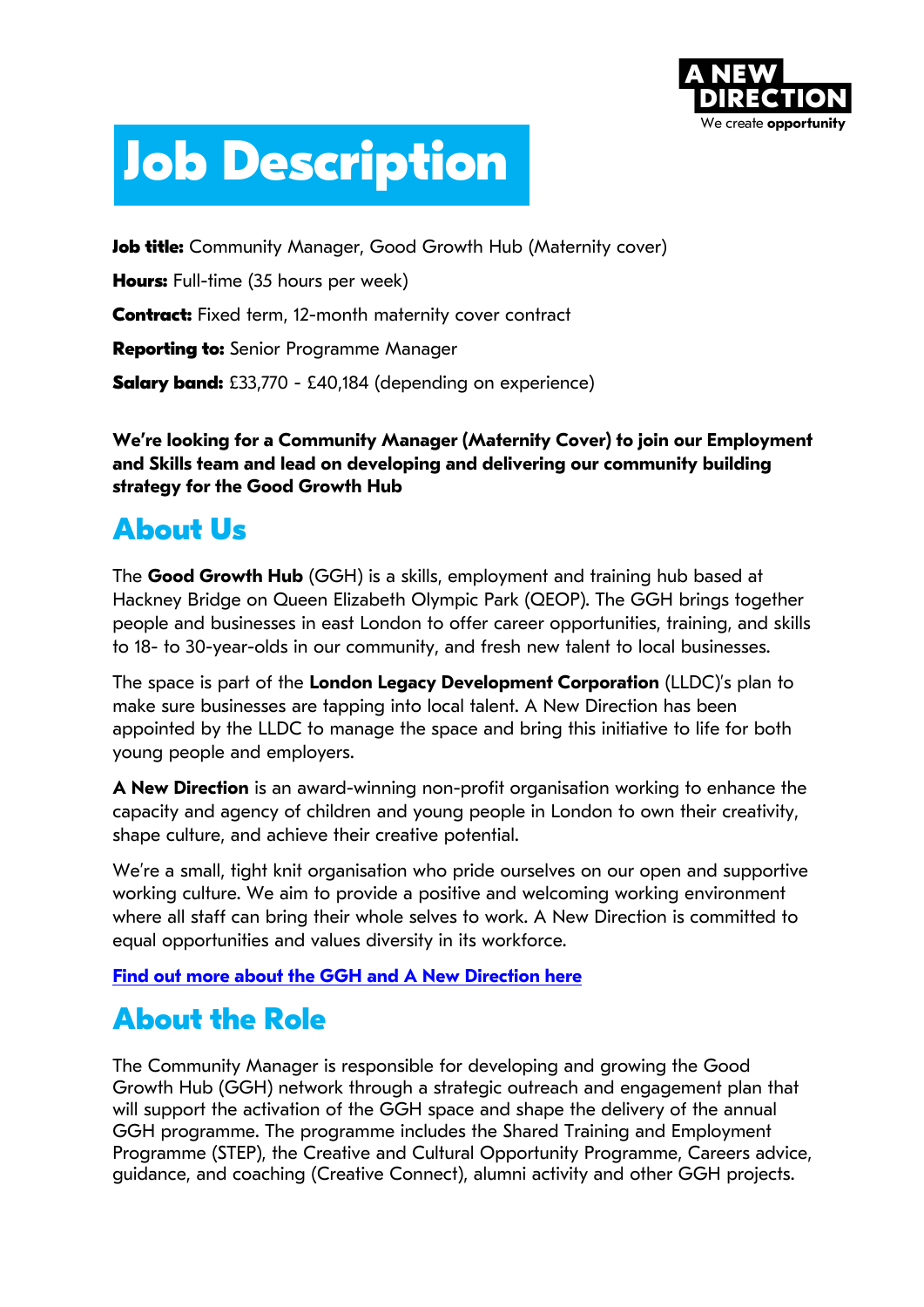

# **Job Description**

**Job title:** Community Manager, Good Growth Hub (Maternity cover)

**Hours:** Full-time (35 hours per week)

**Contract:** Fixed term, 12-month maternity cover contract

**Reporting to:** Senior Programme Manager

**Salary band:** £33,770 - £40,184 (depending on experience)

**We're looking for a Community Manager (Maternity Cover) to join our Employment and Skills team and lead on developing and delivering our community building strategy for the Good Growth Hub**

# **About Us**

The **Good Growth Hub** (GGH) is a skills, employment and training hub based at Hackney Bridge on Queen Elizabeth Olympic Park (QEOP). The GGH brings together people and businesses in east London to offer career opportunities, training, and skills to 18- to 30-year-olds in our community, and fresh new talent to local businesses.

The space is part of the **London Legacy Development Corporation** (LLDC)'s plan to make sure businesses are tapping into local talent. A New Direction has been appointed by the LLDC to manage the space and bring this initiative to life for both young people and employers.

**A New Direction** is an award-winning non-profit organisation working to enhance the capacity and agency of children and young people in London to own their creativity, shape culture, and achieve their creative potential.

We're a small, tight knit organisation who pride ourselves on our open and supportive working culture. We aim to provide a positive and welcoming working environment where all staff can bring their whole selves to work. A New Direction is committed to equal opportunities and values diversity in its workforce.

**Find out more about the GGH and A New Direction here**

# **About the Role**

The Community Manager is responsible for developing and growing the Good Growth Hub (GGH) network through a strategic outreach and engagement plan that will support the activation of the GGH space and shape the delivery of the annual GGH programme. The programme includes the Shared Training and Employment Programme (STEP), the Creative and Cultural Opportunity Programme, Careers advice, guidance, and coaching (Creative Connect), alumni activity and other GGH projects.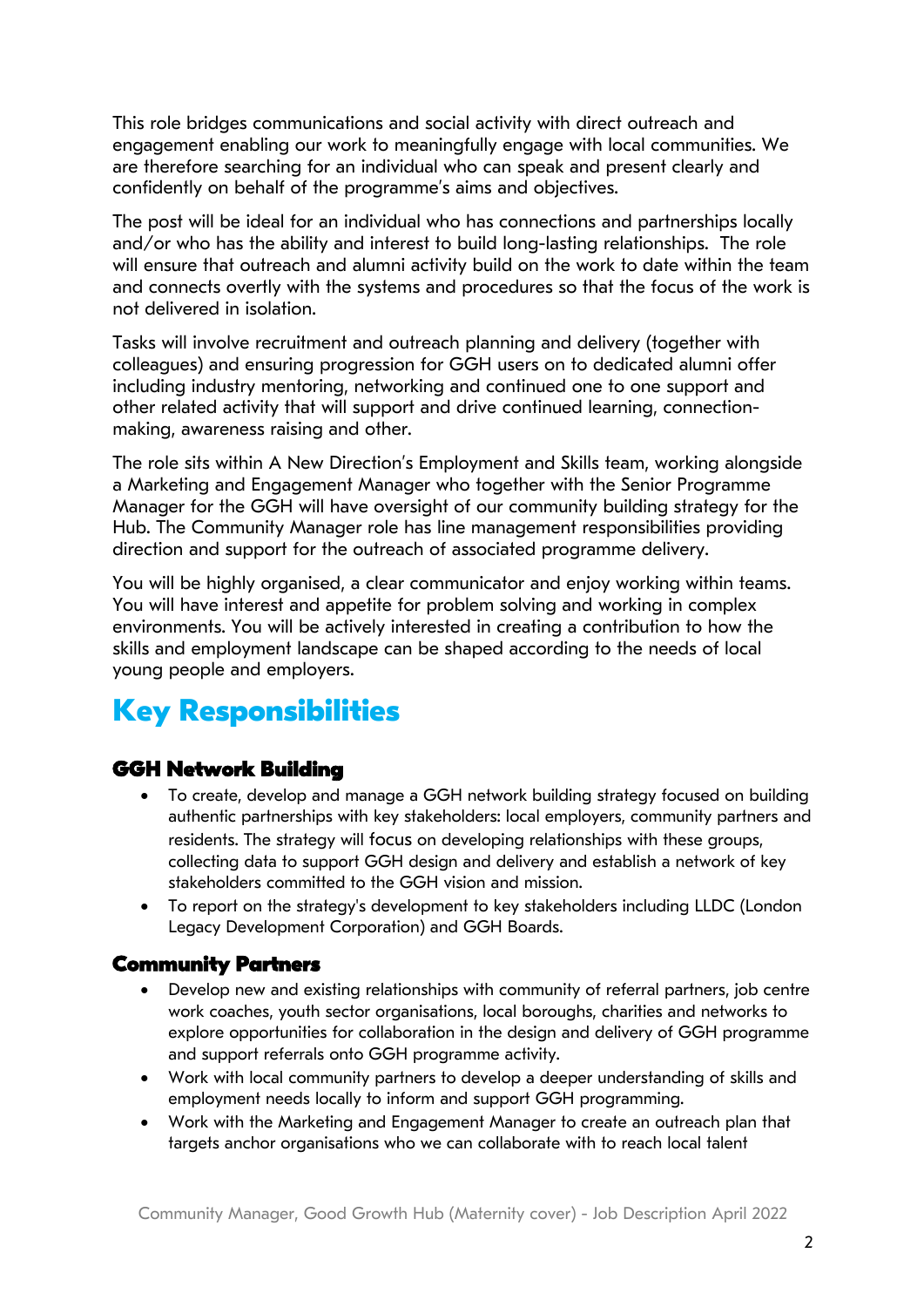This role bridges communications and social activity with direct outreach and engagement enabling our work to meaningfully engage with local communities. We are therefore searching for an individual who can speak and present clearly and confidently on behalf of the programme's aims and objectives.

The post will be ideal for an individual who has connections and partnerships locally and/or who has the ability and interest to build long-lasting relationships. The role will ensure that outreach and alumni activity build on the work to date within the team and connects overtly with the systems and procedures so that the focus of the work is not delivered in isolation.

Tasks will involve recruitment and outreach planning and delivery (together with colleagues) and ensuring progression for GGH users on to dedicated alumni offer including industry mentoring, networking and continued one to one support and other related activity that will support and drive continued learning, connectionmaking, awareness raising and other.

The role sits within A New Direction's Employment and Skills team, working alongside a Marketing and Engagement Manager who together with the Senior Programme Manager for the GGH will have oversight of our community building strategy for the Hub. The Community Manager role has line management responsibilities providing direction and support for the outreach of associated programme delivery.

You will be highly organised, a clear communicator and enjoy working within teams. You will have interest and appetite for problem solving and working in complex environments. You will be actively interested in creating a contribution to how the skills and employment landscape can be shaped according to the needs of local young people and employers.

# **Key Responsibilities**

## **GGH Network Building**

- To create, develop and manage a GGH network building strategy focused on building authentic partnerships with key stakeholders: local employers, community partners and residents. The strategy will focus on developing relationships with these groups, collecting data to support GGH design and delivery and establish a network of key stakeholders committed to the GGH vision and mission.
- To report on the strategy's development to key stakeholders including LLDC (London Legacy Development Corporation) and GGH Boards.

#### **Community Partners**

- Develop new and existing relationships with community of referral partners, job centre work coaches, youth sector organisations, local boroughs, charities and networks to explore opportunities for collaboration in the design and delivery of GGH programme and support referrals onto GGH programme activity.
- Work with local community partners to develop a deeper understanding of skills and employment needs locally to inform and support GGH programming.
- Work with the Marketing and Engagement Manager to create an outreach plan that targets anchor organisations who we can collaborate with to reach local talent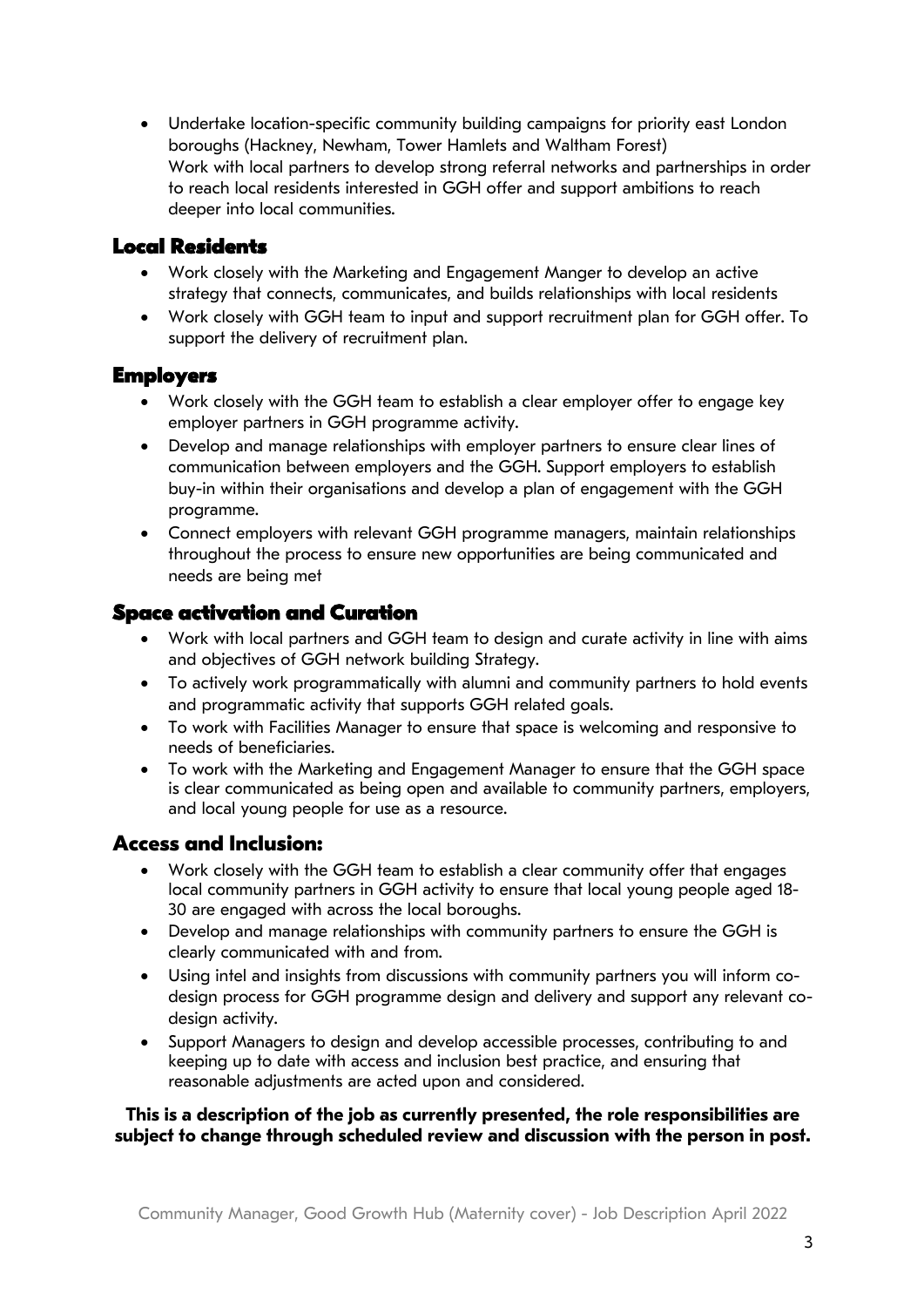• Undertake location-specific community building campaigns for priority east London boroughs (Hackney, Newham, Tower Hamlets and Waltham Forest) Work with local partners to develop strong referral networks and partnerships in order to reach local residents interested in GGH offer and support ambitions to reach deeper into local communities.

#### **Local Residents**

- Work closely with the Marketing and Engagement Manger to develop an active strategy that connects, communicates, and builds relationships with local residents
- Work closely with GGH team to input and support recruitment plan for GGH offer. To support the delivery of recruitment plan.

#### **Employers**

- Work closely with the GGH team to establish a clear employer offer to engage key employer partners in GGH programme activity.
- Develop and manage relationships with employer partners to ensure clear lines of communication between employers and the GGH. Support employers to establish buy-in within their organisations and develop a plan of engagement with the GGH programme.
- Connect employers with relevant GGH programme managers, maintain relationships throughout the process to ensure new opportunities are being communicated and needs are being met

#### **Space activation and Curation**

- Work with local partners and GGH team to design and curate activity in line with aims and objectives of GGH network building Strategy.
- To actively work programmatically with alumni and community partners to hold events and programmatic activity that supports GGH related goals.
- To work with Facilities Manager to ensure that space is welcoming and responsive to needs of beneficiaries.
- To work with the Marketing and Engagement Manager to ensure that the GGH space is clear communicated as being open and available to community partners, employers, and local young people for use as a resource.

#### **Access and Inclusion:**

- Work closely with the GGH team to establish a clear community offer that engages local community partners in GGH activity to ensure that local young people aged 18- 30 are engaged with across the local boroughs.
- Develop and manage relationships with community partners to ensure the GGH is clearly communicated with and from.
- Using intel and insights from discussions with community partners you will inform codesign process for GGH programme design and delivery and support any relevant codesign activity.
- Support Managers to design and develop accessible processes, contributing to and keeping up to date with access and inclusion best practice, and ensuring that reasonable adjustments are acted upon and considered.

#### **This is a description of the job as currently presented, the role responsibilities are subject to change through scheduled review and discussion with the person in post.**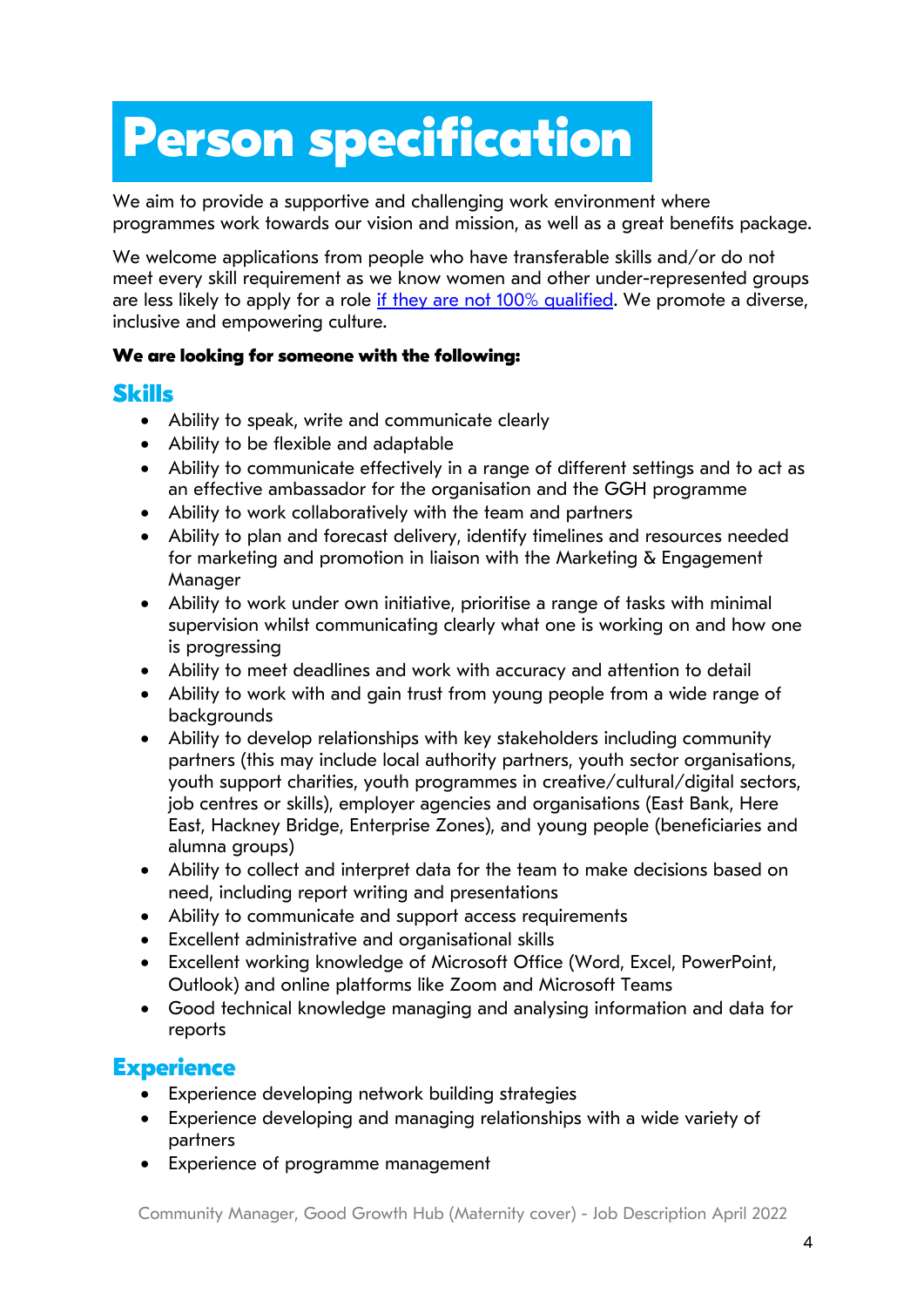# **Person Specification Person specification**

We aim to provide a supportive and challenging work environment where programmes work towards our vision and mission, as well as a great benefits package.

We welcome applications from people who have transferable skills and/or do not meet every skill requirement as we know women and other under-represented groups are less likely to apply for a role if they are not 100% qualified. We promote a diverse, inclusive and empowering culture.

#### **We are looking for someone with the following:**

## **Skills**

- Ability to speak, write and communicate clearly
- Ability to be flexible and adaptable
- Ability to communicate effectively in a range of different settings and to act as an effective ambassador for the organisation and the GGH programme
- Ability to work collaboratively with the team and partners
- Ability to plan and forecast delivery, identify timelines and resources needed for marketing and promotion in liaison with the Marketing  $\delta$  Engagement Manager
- Ability to work under own initiative, prioritise a range of tasks with minimal supervision whilst communicating clearly what one is working on and how one is progressing
- Ability to meet deadlines and work with accuracy and attention to detail
- Ability to work with and gain trust from young people from a wide range of backgrounds
- Ability to develop relationships with key stakeholders including community partners (this may include local authority partners, youth sector organisations, youth support charities, youth programmes in creative/cultural/digital sectors, job centres or skills), employer agencies and organisations (East Bank, Here East, Hackney Bridge, Enterprise Zones), and young people (beneficiaries and alumna groups)
- Ability to collect and interpret data for the team to make decisions based on need, including report writing and presentations
- Ability to communicate and support access requirements
- Excellent administrative and organisational skills
- Excellent working knowledge of Microsoft Office (Word, Excel, PowerPoint, Outlook) and online platforms like Zoom and Microsoft Teams
- Good technical knowledge managing and analysing information and data for reports

# **Experience**

- Experience developing network building strategies
- Experience developing and managing relationships with a wide variety of partners
- Experience of programme management